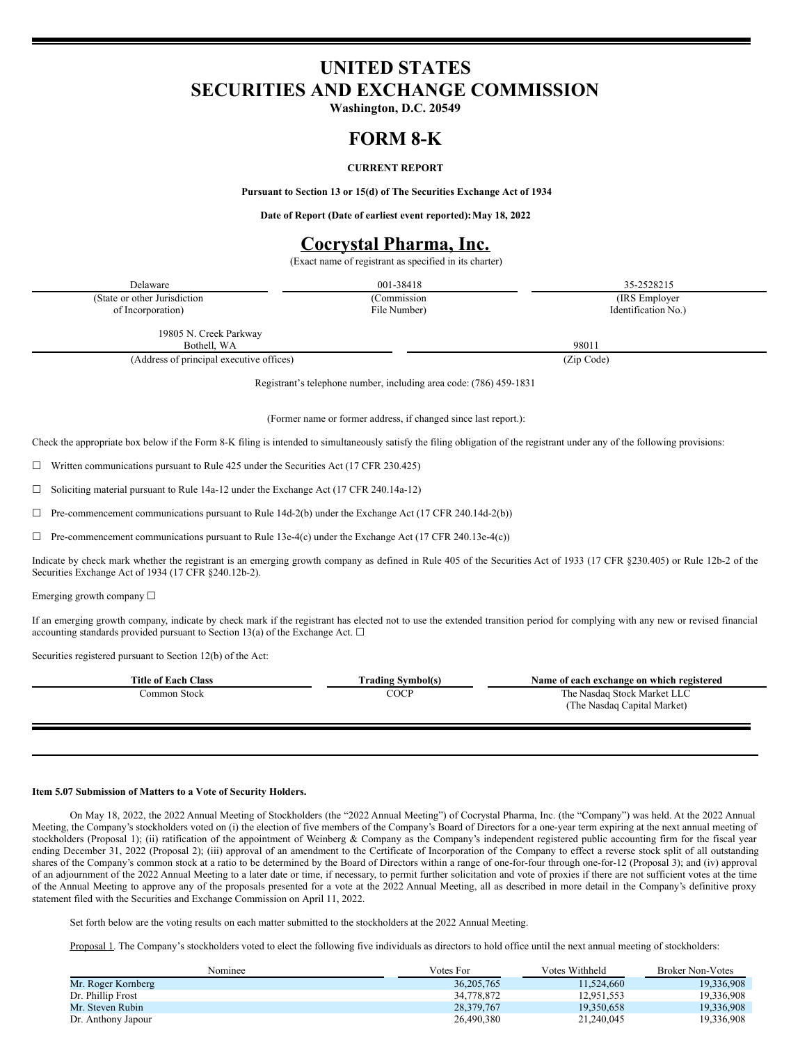# **UNITED STATES SECURITIES AND EXCHANGE COMMISSION**

**Washington, D.C. 20549**

### **FORM 8-K**

#### **CURRENT REPORT**

**Pursuant to Section 13 or 15(d) of The Securities Exchange Act of 1934**

**Date of Report (Date of earliest event reported):May 18, 2022**

# **Cocrystal Pharma, Inc.**

(Exact name of registrant as specified in its charter)

| Delaware                                 | 001-38418                                                          | 35-2528215          |
|------------------------------------------|--------------------------------------------------------------------|---------------------|
| (State or other Jurisdiction)            | (Commission                                                        | (IRS Employer)      |
| of Incorporation)                        | File Number)                                                       | Identification No.) |
| 19805 N. Creek Parkway                   |                                                                    |                     |
| Bothell, WA                              |                                                                    | 98011               |
| (Address of principal executive offices) | (Zip Code)                                                         |                     |
|                                          | Registrant's telephone number, including area code: (786) 459-1831 |                     |

(Former name or former address, if changed since last report.):

Check the appropriate box below if the Form 8-K filing is intended to simultaneously satisfy the filing obligation of the registrant under any of the following provisions:

 $\Box$  Written communications pursuant to Rule 425 under the Securities Act (17 CFR 230.425)

☐ Soliciting material pursuant to Rule 14a-12 under the Exchange Act (17 CFR 240.14a-12)

 $\Box$  Pre-commencement communications pursuant to Rule 14d-2(b) under the Exchange Act (17 CFR 240.14d-2(b))

 $\Box$  Pre-commencement communications pursuant to Rule 13e-4(c) under the Exchange Act (17 CFR 240.13e-4(c))

Indicate by check mark whether the registrant is an emerging growth company as defined in Rule 405 of the Securities Act of 1933 (17 CFR §230.405) or Rule 12b-2 of the Securities Exchange Act of 1934 (17 CFR §240.12b-2).

Emerging growth company ☐

If an emerging growth company, indicate by check mark if the registrant has elected not to use the extended transition period for complying with any new or revised financial accounting standards provided pursuant to Section 13(a) of the Exchange Act.  $\square$ 

Securities registered pursuant to Section 12(b) of the Act:

| <b>Title of Each Class</b> | [ˈrading Svmbol(s) | Name of each exchange on which registered |
|----------------------------|--------------------|-------------------------------------------|
| `ommon Stock               | COCP               | The Nasdag Stock Market LLC               |
|                            |                    | (The Nasdag Capital Market)               |
|                            |                    |                                           |

#### **Item 5.07 Submission of Matters to a Vote of Security Holders.**

On May 18, 2022, the 2022 Annual Meeting of Stockholders (the "2022 Annual Meeting") of Cocrystal Pharma, Inc. (the "Company") was held. At the 2022 Annual Meeting, the Company's stockholders voted on (i) the election of five members of the Company's Board of Directors for a one-year term expiring at the next annual meeting of stockholders (Proposal 1); (ii) ratification of the appointment of Weinberg & Company as the Company's independent registered public accounting firm for the fiscal year ending December 31, 2022 (Proposal 2); (iii) approval of an amendment to the Certificate of Incorporation of the Company to effect a reverse stock split of all outstanding shares of the Company's common stock at a ratio to be determined by the Board of Directors within a range of one-for-four through one-for-12 (Proposal 3); and (iv) approval of an adjournment of the 2022 Annual Meeting to a later date or time, if necessary, to permit further solicitation and vote of proxies if there are not sufficient votes at the time of the Annual Meeting to approve any of the proposals presented for a vote at the 2022 Annual Meeting, all as described in more detail in the Company's definitive proxy statement filed with the Securities and Exchange Commission on April 11, 2022.

Set forth below are the voting results on each matter submitted to the stockholders at the 2022 Annual Meeting.

Proposal 1. The Company's stockholders voted to elect the following five individuals as directors to hold office until the next annual meeting of stockholders:

| Nominee            | Votes For  | Votes Withheld | <b>Broker Non-Votes</b> |
|--------------------|------------|----------------|-------------------------|
| Mr. Roger Kornberg | 36,205,765 | 11.524,660     | 19.336.908              |
| Dr. Phillip Frost  | 34,778,872 | 12,951,553     | 19.336.908              |
| Mr. Steven Rubin   | 28,379,767 | 19.350.658     | 19.336.908              |
| Dr. Anthony Japour | 26,490,380 | 21,240,045     | 19,336,908              |